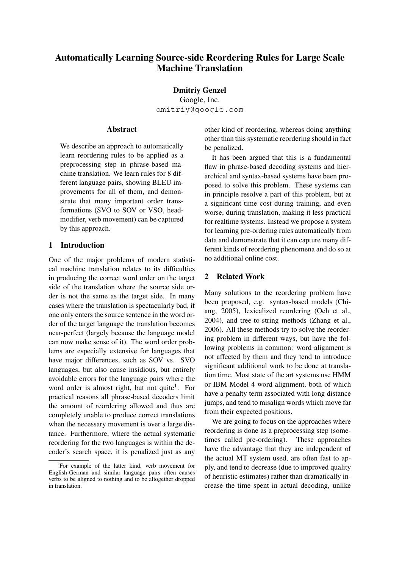# Automatically Learning Source-side Reordering Rules for Large Scale Machine Translation

Dmitriy Genzel

Google, Inc. dmitriy@google.com

### Abstract

We describe an approach to automatically learn reordering rules to be applied as a preprocessing step in phrase-based machine translation. We learn rules for 8 different language pairs, showing BLEU improvements for all of them, and demonstrate that many important order transformations (SVO to SOV or VSO, headmodifier, verb movement) can be captured by this approach.

#### 1 Introduction

One of the major problems of modern statistical machine translation relates to its difficulties in producing the correct word order on the target side of the translation where the source side order is not the same as the target side. In many cases where the translation is spectacularly bad, if one only enters the source sentence in the word order of the target language the translation becomes near-perfect (largely because the language model can now make sense of it). The word order problems are especially extensive for languages that have major differences, such as SOV vs. SVO languages, but also cause insidious, but entirely avoidable errors for the language pairs where the word order is almost right, but not quite<sup>1</sup>. For practical reasons all phrase-based decoders limit the amount of reordering allowed and thus are completely unable to produce correct translations when the necessary movement is over a large distance. Furthermore, where the actual systematic reordering for the two languages is within the decoder's search space, it is penalized just as any other kind of reordering, whereas doing anything other than this systematic reordering should in fact be penalized.

It has been argued that this is a fundamental flaw in phrase-based decoding systems and hierarchical and syntax-based systems have been proposed to solve this problem. These systems can in principle resolve a part of this problem, but at a significant time cost during training, and even worse, during translation, making it less practical for realtime systems. Instead we propose a system for learning pre-ordering rules automatically from data and demonstrate that it can capture many different kinds of reordering phenomena and do so at no additional online cost.

# 2 Related Work

Many solutions to the reordering problem have been proposed, e.g. syntax-based models (Chiang, 2005), lexicalized reordering (Och et al., 2004), and tree-to-string methods (Zhang et al., 2006). All these methods try to solve the reordering problem in different ways, but have the following problems in common: word alignment is not affected by them and they tend to introduce significant additional work to be done at translation time. Most state of the art systems use HMM or IBM Model 4 word alignment, both of which have a penalty term associated with long distance jumps, and tend to misalign words which move far from their expected positions.

We are going to focus on the approaches where reordering is done as a preprocessing step (sometimes called pre-ordering). These approaches have the advantage that they are independent of the actual MT system used, are often fast to apply, and tend to decrease (due to improved quality of heuristic estimates) rather than dramatically increase the time spent in actual decoding, unlike

<sup>&</sup>lt;sup>1</sup>For example of the latter kind, verb movement for English-German and similar language pairs often causes verbs to be aligned to nothing and to be altogether dropped in translation.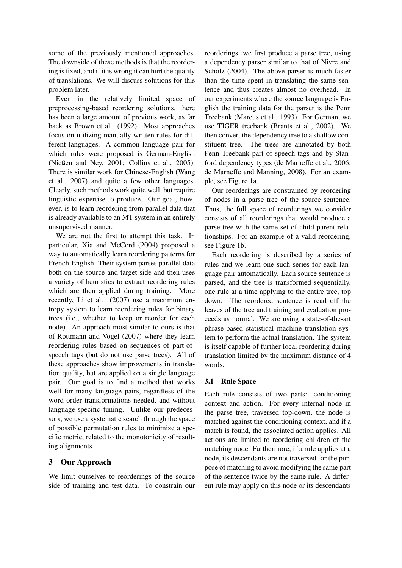some of the previously mentioned approaches. The downside of these methods is that the reordering is fixed, and if it is wrong it can hurt the quality of translations. We will discuss solutions for this problem later.

Even in the relatively limited space of preprocessing-based reordering solutions, there has been a large amount of previous work, as far back as Brown et al. (1992). Most approaches focus on utilizing manually written rules for different languages. A common language pair for which rules were proposed is German-English (Nießen and Ney, 2001; Collins et al., 2005). There is similar work for Chinese-English (Wang et al., 2007) and quite a few other languages. Clearly, such methods work quite well, but require linguistic expertise to produce. Our goal, however, is to learn reordering from parallel data that is already available to an MT system in an entirely unsupervised manner.

We are not the first to attempt this task. In particular, Xia and McCord (2004) proposed a way to automatically learn reordering patterns for French-English. Their system parses parallel data both on the source and target side and then uses a variety of heuristics to extract reordering rules which are then applied during training. More recently, Li et al. (2007) use a maximum entropy system to learn reordering rules for binary trees (i.e., whether to keep or reorder for each node). An approach most similar to ours is that of Rottmann and Vogel (2007) where they learn reordering rules based on sequences of part-ofspeech tags (but do not use parse trees). All of these approaches show improvements in translation quality, but are applied on a single language pair. Our goal is to find a method that works well for many language pairs, regardless of the word order transformations needed, and without language-specific tuning. Unlike our predecessors, we use a systematic search through the space of possible permutation rules to minimize a specific metric, related to the monotonicity of resulting alignments.

# 3 Our Approach

We limit ourselves to reorderings of the source side of training and test data. To constrain our reorderings, we first produce a parse tree, using a dependency parser similar to that of Nivre and Scholz (2004). The above parser is much faster than the time spent in translating the same sentence and thus creates almost no overhead. In our experiments where the source language is English the training data for the parser is the Penn Treebank (Marcus et al., 1993). For German, we use TIGER treebank (Brants et al., 2002). We then convert the dependency tree to a shallow constituent tree. The trees are annotated by both Penn Treebank part of speech tags and by Stanford dependency types (de Marneffe et al., 2006; de Marneffe and Manning, 2008). For an example, see Figure 1a.

Our reorderings are constrained by reordering of nodes in a parse tree of the source sentence. Thus, the full space of reorderings we consider consists of all reorderings that would produce a parse tree with the same set of child-parent relationships. For an example of a valid reordering, see Figure 1b.

Each reordering is described by a series of rules and we learn one such series for each language pair automatically. Each source sentence is parsed, and the tree is transformed sequentially, one rule at a time applying to the entire tree, top down. The reordered sentence is read off the leaves of the tree and training and evaluation proceeds as normal. We are using a state-of-the-art phrase-based statistical machine translation system to perform the actual translation. The system is itself capable of further local reordering during translation limited by the maximum distance of 4 words.

### 3.1 Rule Space

Each rule consists of two parts: conditioning context and action. For every internal node in the parse tree, traversed top-down, the node is matched against the conditioning context, and if a match is found, the associated action applies. All actions are limited to reordering children of the matching node. Furthermore, if a rule applies at a node, its descendants are not traversed for the purpose of matching to avoid modifying the same part of the sentence twice by the same rule. A different rule may apply on this node or its descendants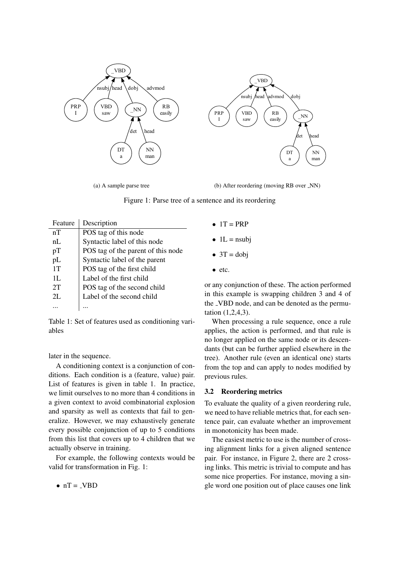

(a) A sample parse tree

(b) After reordering (moving RB over  $\lfloor NN \rfloor$ )

Figure 1: Parse tree of a sentence and its reordering

| Feature | Description                        |
|---------|------------------------------------|
| nT      | POS tag of this node               |
| nL      | Syntactic label of this node       |
| pT      | POS tag of the parent of this node |
| pL      | Syntactic label of the parent      |
| 1T      | POS tag of the first child         |
| 1L.     | Label of the first child           |
| 2T      | POS tag of the second child        |
| 2L      | Label of the second child          |
|         |                                    |

Table 1: Set of features used as conditioning variables

later in the sequence.

A conditioning context is a conjunction of conditions. Each condition is a (feature, value) pair. List of features is given in table 1. In practice, we limit ourselves to no more than 4 conditions in a given context to avoid combinatorial explosion and sparsity as well as contexts that fail to generalize. However, we may exhaustively generate every possible conjunction of up to 5 conditions from this list that covers up to 4 children that we actually observe in training.

For example, the following contexts would be valid for transformation in Fig. 1:

 $\bullet$  nT = VBD

- $\bullet$  1T = PRP
- $\bullet$  1L = nsubj
- $\bullet$  3T = dobj
- etc.

or any conjunction of these. The action performed in this example is swapping children 3 and 4 of the VBD node, and can be denoted as the permutation (1,2,4,3).

When processing a rule sequence, once a rule applies, the action is performed, and that rule is no longer applied on the same node or its descendants (but can be further applied elsewhere in the tree). Another rule (even an identical one) starts from the top and can apply to nodes modified by previous rules.

### 3.2 Reordering metrics

To evaluate the quality of a given reordering rule, we need to have reliable metrics that, for each sentence pair, can evaluate whether an improvement in monotonicity has been made.

The easiest metric to use is the number of crossing alignment links for a given aligned sentence pair. For instance, in Figure 2, there are 2 crossing links. This metric is trivial to compute and has some nice properties. For instance, moving a single word one position out of place causes one link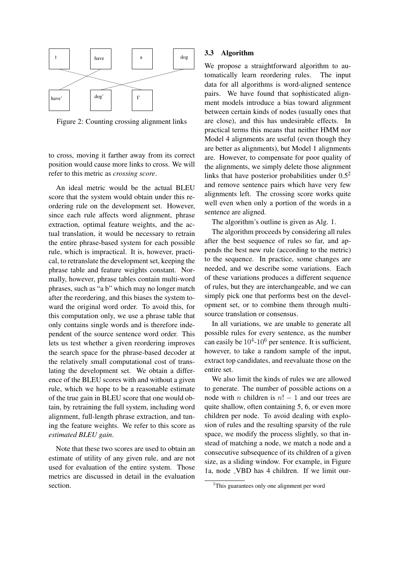

Figure 2: Counting crossing alignment links

to cross, moving it farther away from its correct position would cause more links to cross. We will refer to this metric as *crossing score*.

An ideal metric would be the actual BLEU score that the system would obtain under this reordering rule on the development set. However, since each rule affects word alignment, phrase extraction, optimal feature weights, and the actual translation, it would be necessary to retrain the entire phrase-based system for each possible rule, which is impractical. It is, however, practical, to retranslate the development set, keeping the phrase table and feature weights constant. Normally, however, phrase tables contain multi-word phrases, such as "a b" which may no longer match after the reordering, and this biases the system toward the original word order. To avoid this, for this computation only, we use a phrase table that only contains single words and is therefore independent of the source sentence word order. This lets us test whether a given reordering improves the search space for the phrase-based decoder at the relatively small computational cost of translating the development set. We obtain a difference of the BLEU scores with and without a given rule, which we hope to be a reasonable estimate of the true gain in BLEU score that one would obtain, by retraining the full system, including word alignment, full-length phrase extraction, and tuning the feature weights. We refer to this score as *estimated BLEU gain*.

Note that these two scores are used to obtain an estimate of utility of any given rule, and are not used for evaluation of the entire system. Those metrics are discussed in detail in the evaluation section.

#### 3.3 Algorithm

We propose a straightforward algorithm to automatically learn reordering rules. The input data for all algorithms is word-aligned sentence pairs. We have found that sophisticated alignment models introduce a bias toward alignment between certain kinds of nodes (usually ones that are close), and this has undesirable effects. In practical terms this means that neither HMM nor Model 4 alignments are useful (even though they are better as alignments), but Model 1 alignments are. However, to compensate for poor quality of the alignments, we simply delete those alignment links that have posterior probabilities under  $0.5<sup>2</sup>$ and remove sentence pairs which have very few alignments left. The crossing score works quite well even when only a portion of the words in a sentence are aligned.

The algorithm's outline is given as Alg. 1.

The algorithm proceeds by considering all rules after the best sequence of rules so far, and appends the best new rule (according to the metric) to the sequence. In practice, some changes are needed, and we describe some variations. Each of these variations produces a different sequence of rules, but they are interchangeable, and we can simply pick one that performs best on the development set, or to combine them through multisource translation or consensus.

In all variations, we are unable to generate all possible rules for every sentence, as the number can easily be  $10^4$ - $10^6$  per sentence. It is sufficient, however, to take a random sample of the input, extract top candidates, and reevaluate those on the entire set.

We also limit the kinds of rules we are allowed to generate. The number of possible actions on a node with *n* children is  $n! - 1$  and our trees are quite shallow, often containing 5, 6, or even more children per node. To avoid dealing with explosion of rules and the resulting sparsity of the rule space, we modify the process slightly, so that instead of matching a node, we match a node and a consecutive subsequence of its children of a given size, as a sliding window. For example, in Figure 1a, node VBD has 4 children. If we limit our-

<sup>&</sup>lt;sup>2</sup>This guarantees only one alignment per word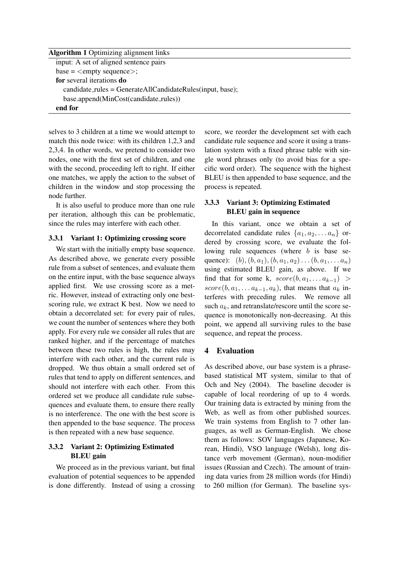| <b>Algorithm 1</b> Optimizing alignment links                     |
|-------------------------------------------------------------------|
| input: A set of aligned sentence pairs                            |
| $base = \langle empty \ sequence \rangle$ ;                       |
| for several iterations do                                         |
| $candidate_{rules} = GenerateAllC and data = Rule(input, base)$ ; |
| base.append(MinCost(candidate_rules))                             |
| end for                                                           |
|                                                                   |

selves to 3 children at a time we would attempt to match this node twice: with its children 1,2,3 and 2,3,4. In other words, we pretend to consider two nodes, one with the first set of children, and one with the second, proceeding left to right. If either one matches, we apply the action to the subset of children in the window and stop processing the node further.

It is also useful to produce more than one rule per iteration, although this can be problematic, since the rules may interfere with each other.

### 3.3.1 Variant 1: Optimizing crossing score

We start with the initially empty base sequence. As described above, we generate every possible rule from a subset of sentences, and evaluate them on the entire input, with the base sequence always applied first. We use crossing score as a metric. However, instead of extracting only one bestscoring rule, we extract K best. Now we need to obtain a decorrelated set: for every pair of rules, we count the number of sentences where they both apply. For every rule we consider all rules that are ranked higher, and if the percentage of matches between these two rules is high, the rules may interfere with each other, and the current rule is dropped. We thus obtain a small ordered set of rules that tend to apply on different sentences, and should not interfere with each other. From this ordered set we produce all candidate rule subsequences and evaluate them, to ensure there really is no interference. The one with the best score is then appended to the base sequence. The process is then repeated with a new base sequence.

# 3.3.2 Variant 2: Optimizing Estimated BLEU gain

We proceed as in the previous variant, but final evaluation of potential sequences to be appended is done differently. Instead of using a crossing score, we reorder the development set with each candidate rule sequence and score it using a translation system with a fixed phrase table with single word phrases only (to avoid bias for a specific word order). The sequence with the highest BLEU is then appended to base sequence, and the process is repeated.

# 3.3.3 Variant 3: Optimizing Estimated BLEU gain in sequence

In this variant, once we obtain a set of decorrelated candidate rules  $\{a_1, a_2, \ldots a_n\}$  ordered by crossing score, we evaluate the following rule sequences (where b is base sequence): (b),  $(b, a_1)$ ,  $(b, a_1, a_2)$ ...  $(b, a_1, \ldots a_n)$ using estimated BLEU gain, as above. If we find that for some k,  $score(b, a_1, \ldots a_{k-1}) >$ score(b,  $a_1, \ldots a_{k-1}, a_k$ ), that means that  $a_k$  interferes with preceding rules. We remove all such  $a_k$ , and retranslate/rescore until the score sequence is monotonically non-decreasing. At this point, we append all surviving rules to the base sequence, and repeat the process.

# 4 Evaluation

As described above, our base system is a phrasebased statistical MT system, similar to that of Och and Ney (2004). The baseline decoder is capable of local reordering of up to 4 words. Our training data is extracted by mining from the Web, as well as from other published sources. We train systems from English to 7 other languages, as well as German-English. We chose them as follows: SOV languages (Japanese, Korean, Hindi), VSO language (Welsh), long distance verb movement (German), noun-modifier issues (Russian and Czech). The amount of training data varies from 28 million words (for Hindi) to 260 million (for German). The baseline sys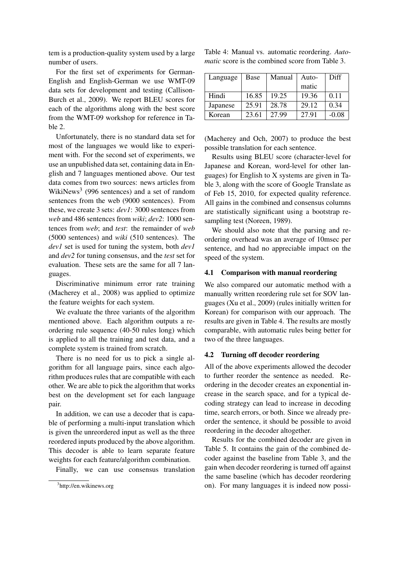tem is a production-quality system used by a large number of users.

For the first set of experiments for German-English and English-German we use WMT-09 data sets for development and testing (Callison-Burch et al., 2009). We report BLEU scores for each of the algorithms along with the best score from the WMT-09 workshop for reference in Table 2.

Unfortunately, there is no standard data set for most of the languages we would like to experiment with. For the second set of experiments, we use an unpublished data set, containing data in English and 7 languages mentioned above. Our test data comes from two sources: news articles from WikiNews<sup>3</sup> (996 sentences) and a set of random sentences from the web (9000 sentences). From these, we create 3 sets: *dev1*: 3000 sentences from *web* and 486 sentences from *wiki*; *dev2*: 1000 sentences from *web*; and *test*: the remainder of *web* (5000 sentences) and *wiki* (510 sentences). The *dev1* set is used for tuning the system, both *dev1* and *dev2* for tuning consensus, and the *test* set for evaluation. These sets are the same for all 7 languages.

Discriminative minimum error rate training (Macherey et al., 2008) was applied to optimize the feature weights for each system.

We evaluate the three variants of the algorithm mentioned above. Each algorithm outputs a reordering rule sequence (40-50 rules long) which is applied to all the training and test data, and a complete system is trained from scratch.

There is no need for us to pick a single algorithm for all language pairs, since each algorithm produces rules that are compatible with each other. We are able to pick the algorithm that works best on the development set for each language pair.

In addition, we can use a decoder that is capable of performing a multi-input translation which is given the unreordered input as well as the three reordered inputs produced by the above algorithm. This decoder is able to learn separate feature weights for each feature/algorithm combination.

Finally, we can use consensus translation

|  |  | Table 4: Manual vs. automatic reordering. Auto-        |  |  |  |
|--|--|--------------------------------------------------------|--|--|--|
|  |  | <i>matic</i> score is the combined score from Table 3. |  |  |  |

| Language | Base  | Manual | Auto- | Diff    |
|----------|-------|--------|-------|---------|
|          |       |        | matic |         |
| Hindi    | 16.85 | 19.25  | 19.36 | 0.11    |
| Japanese | 25.91 | 28.78  | 29.12 | 0.34    |
| Korean   | 23.61 | 27.99  | 27.91 | $-0.08$ |

(Macherey and Och, 2007) to produce the best possible translation for each sentence.

Results using BLEU score (character-level for Japanese and Korean, word-level for other languages) for English to X systems are given in Table 3, along with the score of Google Translate as of Feb 15, 2010, for expected quality reference. All gains in the combined and consensus columns are statistically significant using a bootstrap resampling test (Noreen, 1989).

We should also note that the parsing and reordering overhead was an average of 10msec per sentence, and had no appreciable impact on the speed of the system.

#### 4.1 Comparison with manual reordering

We also compared our automatic method with a manually written reordering rule set for SOV languages (Xu et al., 2009) (rules initially written for Korean) for comparison with our approach. The results are given in Table 4. The results are mostly comparable, with automatic rules being better for two of the three languages.

#### 4.2 Turning off decoder reordering

All of the above experiments allowed the decoder to further reorder the sentence as needed. Reordering in the decoder creates an exponential increase in the search space, and for a typical decoding strategy can lead to increase in decoding time, search errors, or both. Since we already preorder the sentence, it should be possible to avoid reordering in the decoder altogether.

Results for the combined decoder are given in Table 5. It contains the gain of the combined decoder against the baseline from Table 3, and the gain when decoder reordering is turned off against the same baseline (which has decoder reordering on). For many languages it is indeed now possi-

<sup>&</sup>lt;sup>3</sup>http://en.wikinews.org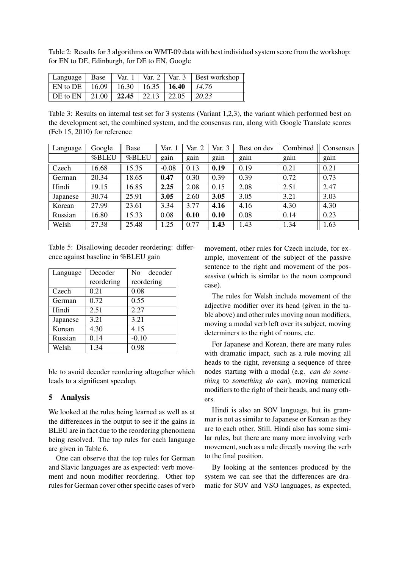Table 2: Results for 3 algorithms on WMT-09 data with best individual system score from the workshop: for EN to DE, Edinburgh, for DE to EN, Google

|                                                            |  |  | Language    Base    Var. 1   Var. 2   Var. 3    Best workshop |
|------------------------------------------------------------|--|--|---------------------------------------------------------------|
| EN to DE    16.09    16.30   16.35   <b>16.40</b>    14.76 |  |  |                                                               |
| DE to EN   21.00   22.45   22.13   22.05   20.23           |  |  |                                                               |

Table 3: Results on internal test set for 3 systems (Variant 1,2,3), the variant which performed best on the development set, the combined system, and the consensus run, along with Google Translate scores (Feb 15, 2010) for reference

| Language | Google | Base  | Var. 1  | Var. 2 | Var. 3 | Best on dev | Combined | Consensus |
|----------|--------|-------|---------|--------|--------|-------------|----------|-----------|
|          | %BLEU  | %BLEU | gain    | gain   | gain   | gain        | gain     | gain      |
| Czech    | 16.68  | 15.35 | $-0.08$ | 0.13   | 0.19   | 0.19        | 0.21     | 0.21      |
| German   | 20.34  | 18.65 | 0.47    | 0.30   | 0.39   | 0.39        | 0.72     | 0.73      |
| Hindi    | 19.15  | 16.85 | 2.25    | 2.08   | 0.15   | 2.08        | 2.51     | 2.47      |
| Japanese | 30.74  | 25.91 | 3.05    | 2.60   | 3.05   | 3.05        | 3.21     | 3.03      |
| Korean   | 27.99  | 23.61 | 3.34    | 3.77   | 4.16   | 4.16        | 4.30     | 4.30      |
| Russian  | 16.80  | 15.33 | 0.08    | 0.10   | 0.10   | 0.08        | 0.14     | 0.23      |
| Welsh    | 27.38  | 25.48 | 1.25    | 0.77   | 1.43   | 1.43        | 1.34     | 1.63      |

Table 5: Disallowing decoder reordering: difference against baseline in %BLEU gain

| Language | Decoder    | decoder<br>No. |  |
|----------|------------|----------------|--|
|          | reordering | reordering     |  |
| Czech    | 0.21       | 0.08           |  |
| German   | 0.72       | 0.55           |  |
| Hindi    | 2.51       | 2.27           |  |
| Japanese | 3.21       | 3.21           |  |
| Korean   | 4.30       | 4.15           |  |
| Russian  | 0.14       | $-0.10$        |  |
| Welsh    | 1.34       | 0.98           |  |

ble to avoid decoder reordering altogether which leads to a significant speedup.

### 5 Analysis

We looked at the rules being learned as well as at the differences in the output to see if the gains in BLEU are in fact due to the reordering phenomena being resolved. The top rules for each language are given in Table 6.

One can observe that the top rules for German and Slavic languages are as expected: verb movement and noun modifier reordering. Other top rules for German cover other specific cases of verb movement, other rules for Czech include, for example, movement of the subject of the passive sentence to the right and movement of the possessive (which is similar to the noun compound case).

The rules for Welsh include movement of the adjective modifier over its head (given in the table above) and other rules moving noun modifiers, moving a modal verb left over its subject, moving determiners to the right of nouns, etc.

For Japanese and Korean, there are many rules with dramatic impact, such as a rule moving all heads to the right, reversing a sequence of three nodes starting with a modal (e.g. *can do something* to *something do can*), moving numerical modifiers to the right of their heads, and many others.

Hindi is also an SOV language, but its grammar is not as similar to Japanese or Korean as they are to each other. Still, Hindi also has some similar rules, but there are many more involving verb movement, such as a rule directly moving the verb to the final position.

By looking at the sentences produced by the system we can see that the differences are dramatic for SOV and VSO languages, as expected,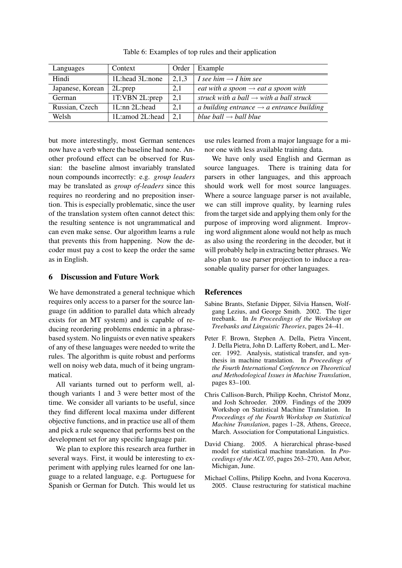| Languages        | Context           | Order | Example                                               |
|------------------|-------------------|-------|-------------------------------------------------------|
| Hindi            | 1L:head 3L:none   | 2,1,3 | I see him $\rightarrow$ I him see                     |
| Japanese, Korean | 2L:prep           | 2,1   | eat with a spoon $\rightarrow$ eat a spoon with       |
| German           | 1T:VBN 2L:prep    | 2,1   | struck with a ball $\rightarrow$ with a ball struck   |
| Russian, Czech   | $1L:nn$ $2L:head$ | 2,1   | a building entrance $\rightarrow$ a entrance building |
| Welsh            | 1L:amod 2L:head   | 2,1   | blue ball $\rightarrow$ ball blue                     |

Table 6: Examples of top rules and their application

but more interestingly, most German sentences now have a verb where the baseline had none. Another profound effect can be observed for Russian: the baseline almost invariably translated noun compounds incorrectly: e.g. *group leaders* may be translated as *group of-leaders* since this requires no reordering and no preposition insertion. This is especially problematic, since the user of the translation system often cannot detect this: the resulting sentence is not ungrammatical and can even make sense. Our algorithm learns a rule that prevents this from happening. Now the decoder must pay a cost to keep the order the same as in English.

# 6 Discussion and Future Work

We have demonstrated a general technique which requires only access to a parser for the source language (in addition to parallel data which already exists for an MT system) and is capable of reducing reordering problems endemic in a phrasebased system. No linguists or even native speakers of any of these languages were needed to write the rules. The algorithm is quite robust and performs well on noisy web data, much of it being ungrammatical.

All variants turned out to perform well, although variants 1 and 3 were better most of the time. We consider all variants to be useful, since they find different local maxima under different objective functions, and in practice use all of them and pick a rule sequence that performs best on the development set for any specific language pair.

We plan to explore this research area further in several ways. First, it would be interesting to experiment with applying rules learned for one language to a related language, e.g. Portuguese for Spanish or German for Dutch. This would let us

use rules learned from a major language for a minor one with less available training data.

We have only used English and German as source languages. There is training data for parsers in other languages, and this approach should work well for most source languages. Where a source language parser is not available, we can still improve quality, by learning rules from the target side and applying them only for the purpose of improving word alignment. Improving word alignment alone would not help as much as also using the reordering in the decoder, but it will probably help in extracting better phrases. We also plan to use parser projection to induce a reasonable quality parser for other languages.

### References

- Sabine Brants, Stefanie Dipper, Silvia Hansen, Wolfgang Lezius, and George Smith. 2002. The tiger treebank. In *In Proceedings of the Workshop on Treebanks and Linguistic Theories*, pages 24–41.
- Peter F. Brown, Stephen A. Della, Pietra Vincent, J. Della Pietra, John D. Lafferty Robert, and L. Mercer. 1992. Analysis, statistical transfer, and synthesis in machine translation. In *Proceedings of the Fourth International Conference on Theoretical and Methodological Issues in Machine Translation*, pages 83–100.
- Chris Callison-Burch, Philipp Koehn, Christof Monz, and Josh Schroeder. 2009. Findings of the 2009 Workshop on Statistical Machine Translation. In *Proceedings of the Fourth Workshop on Statistical Machine Translation*, pages 1–28, Athens, Greece, March. Association for Computational Linguistics.
- David Chiang. 2005. A hierarchical phrase-based model for statistical machine translation. In *Proceedings of the ACL'05*, pages 263–270, Ann Arbor, Michigan, June.
- Michael Collins, Philipp Koehn, and Ivona Kucerova. 2005. Clause restructuring for statistical machine